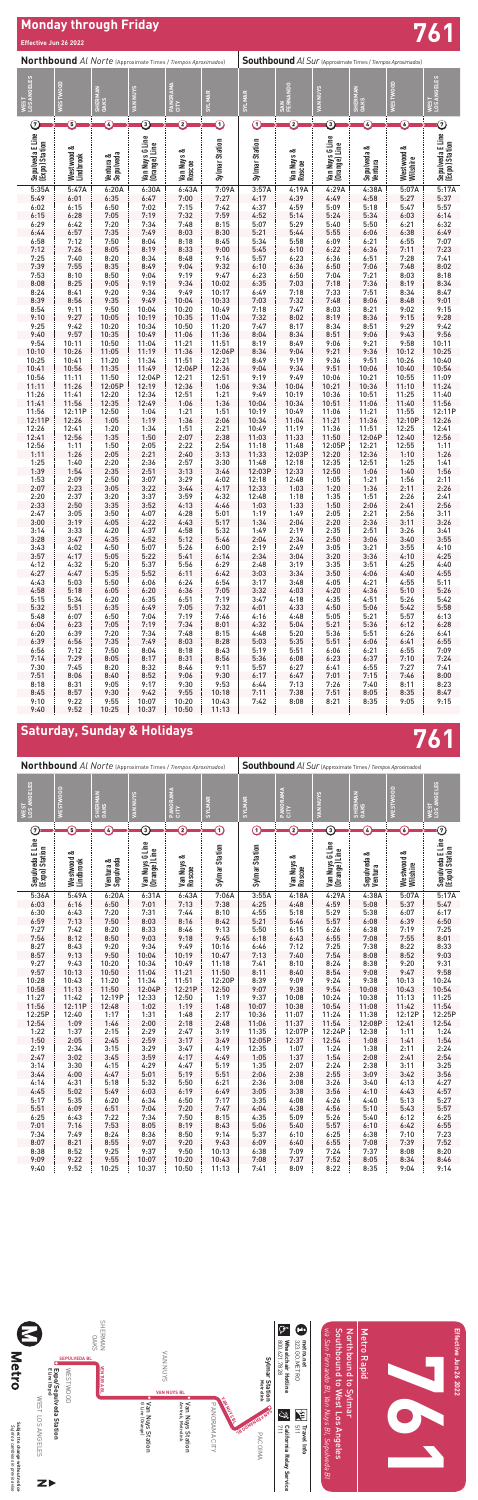

## **Monday through Friday Effective Jun 26 2022 761**

# **Saturday, Sunday & Holidays 761**

| Sepulveda E Line<br>(Expo) Station | ಂಶ<br>Westwood<br>Lindbrook | Sepulveda<br>ಂಶ<br>Ventura | Van Nuys G Line<br>(Orange) Line | ಂಶ<br>Van Nuys<br>Roscoe | Sylmar Station | Sylmar Station | ಂಶ<br>Van Nuys<br>Roscoe | G Line<br>(Orange) Line<br>Van Nuys | ಂಶ<br>Sepulveda<br>Ventura | ಂಶ<br>Westwood<br>Wilshire | Sepulveda E Line<br>(Expo) Station |
|------------------------------------|-----------------------------|----------------------------|----------------------------------|--------------------------|----------------|----------------|--------------------------|-------------------------------------|----------------------------|----------------------------|------------------------------------|
| 5:36A                              | 5:49A                       | 6:20A                      | 6:31A                            | 6:43A                    | 7:06A          | 3:55A          | 4:18A                    | 4:29A                               | 4:38A                      | 5:07A                      | 5:17A                              |
| 6:03                               | 6:16                        | 6:50                       | 7:01                             | 7:13                     | 7:38           | 4:25           | 4:48                     | 4:59                                | 5:08                       | 5:37                       | 5:47                               |
| 6:30                               | 6:43                        | 7:20                       | 7:31                             | 7:44                     | 8:10           | 4:55           | 5:18                     | 5:29                                | 5:38                       | 6:07                       | 6:17                               |
| 6:59                               | 7:13                        | 7:50                       | 8:03                             | 8:16                     | 8:42           | 5:21           | 5:46                     | 5:57                                | 6:08                       | 6:39                       | 6:50                               |
| 7:27                               | 7:42                        | 8:20                       | 8:33                             | 8:46                     | 9:13           | 5:50           | 6:15                     | 6:26                                | 6:38                       | 7:19                       | 7:25                               |
| 7:56                               | 8:12                        | 8:50                       | 9:03                             | 9:18                     | 9:45           | 6:18           | 6:43                     | 6:55                                | 7:08                       | 7:55                       | 8:01                               |
| 8:27                               | 8:43                        | 9:20                       | 9:34                             | 9:49                     | 10:16          | 6:46           | 7:12                     | 7:25                                | 7:38                       | 8:22                       | 8:33                               |
| 8:57                               | 9:13                        | 9:50                       | 10:04                            | 10:19                    | 10:47          | 7:13           | 7:40                     | 7:54                                | 8:08                       | 8:52                       | 9:03                               |
| 9:27                               | 9:43                        | 10:20                      | 10:34                            | 10:49                    | 11:18          | 7:41           | 8:10                     | 8:24                                | 8:38                       | 9:20                       | 9:31                               |
| 9:57                               | 10:13                       | 10:50                      | 11:04                            | 11:21                    | 11:50          | 8:11           | 8:40                     | 8:54                                | 9:08                       | 9:47                       | 9:58                               |
| 10:28                              | 10:43                       | 11:20                      | 11:34                            | 11:51                    | 12:20P         | 8:39           | 9:09                     | 9:24                                | 9:38                       | 10:13                      | 10:24                              |
| 10:58                              | 11:13                       | 11:50                      | 12:04P                           | 12:21P                   | 12:50          | 9:07           | 9:38                     | 9:54                                | 10:08                      | 10:43                      | 10:54                              |
| 11:27                              | 11:42                       | 12:19P                     | 12:33                            | 12:50                    | 1:19           | 9:37           | 10:08                    | 10:24                               | 10:38                      | 11:13                      | 11:25                              |
| 11:56                              | 12:11P                      | 12:48                      | 1:02                             | 1:19                     | 1:48           | 10:07          | 10:38                    | 10:54                               | 11:08                      | 11:42                      | 11:54                              |
| 12:25P                             | 12:40                       | 1:17                       | 1:31                             | 1:48                     | 2:17           | 10:36          | 11:07                    | 11:24                               | 11:38                      | 12:12P                     | 12:25P                             |
| 12:54                              | 1:09                        | 1:46                       | 2:00                             | 2:18                     | 2:48           | 11:06          | 11:37                    | 11:54                               | 12:08P                     | 12:41                      | 12:54                              |
| 1:22                               | 1:37                        | 2:15                       | 2:29                             | 2:47                     | 3:19           | 11:35          | 12:07P                   | 12:24P                              | 12:38                      | 1:11                       | 1:24                               |
| 1:50                               | 2:05                        | 2:45                       | 2:59                             | 3:17                     | 3:49           | 12:05P         | 12:37                    | 12:54                               | 1:08                       | 1:41                       | 1:54                               |
| 2:19                               | 2:34                        | 3:15                       | 3:29                             | 3:47                     | 4:19           | 12:35          | 1:07                     | 1:24                                | 1:38                       | 2:11                       | 2:24                               |
| 2:47                               | 3:02                        | 3:45                       | 3:59                             | 4:17                     | 4:49           | 1:05           | 1:37                     | 1:54                                | 2:08                       | 2:41                       | 2:54                               |
| 3:14                               | 3:30                        | 4:15                       | 4:29                             | 4:47                     | 5:19           | 1:35           | 2:07                     | 2:24                                | 2:38                       | 3:11                       | 3:25                               |
| 3:44                               | 4:00                        | 4:47                       | 5:01                             | 5:19                     | 5:51           | 2:06           | 2:38                     | 2:55                                | 3:09                       | 3:42                       | 3:56                               |
| 4:14                               | 4:31                        | 5:18                       | 5:32                             | 5:50                     | 6:21           | 2:36           | 3:08                     | 3:26                                | 3:40                       | 4:13                       | 4:27                               |
| 4:45                               | 5:02                        | 5:49                       | 6:03                             | 6:19                     | 6:49           | 3:05           | 3:38                     | 3:56                                | 4:10                       | 4:43                       | 4:57                               |
| 5:17                               | 5:35                        | 6:20                       | 6:34                             | 6:50                     | 7:17           | 3:35           | 4:08                     | 4:26                                | 4:40                       | 5:13                       | 5:27                               |
| 5:51                               | 6:09                        | 6:51                       | 7:04                             | 7:20                     | 7:47           | 4:04           | 4:38                     | 4:56                                | 5:10                       | 5:43                       | 5:57                               |
| 6:25                               | 6:43                        | 7:22                       | 7:34                             | 7:50                     | 8:15           | 4:35           | 5:09                     | 5:26                                | 5:40                       | 6:12                       | 6:25                               |
| 7:01                               | 7:16                        | 7:53                       | 8:05                             | 8:19                     | 8:43           | 5:06           | 5:40                     | 5:57                                | 6:10                       | 6:42                       | 6:55                               |
| 7:34                               | 7:49                        | 8:24                       | 8:36                             | 8:50                     | 9:14           | 5:37           | 6:10                     | 6:25                                | 6:38                       | 7:10                       | 7:23                               |
| 8:07                               | 8:21                        | 8:55                       | 9:07                             | 9:20                     | 9:43           | 6:09           | 6:40                     | 6:55                                | 7:08                       | 7:39                       | 7:52                               |
| 8:38                               | 8:52                        | 9:25                       | 9:37                             | 9:50                     | 10:13          | 6:38           | 7:09                     | 7:24                                | 7:37                       | 8:08                       | 8:20                               |
| 9:09                               | 9:22                        | 9:55                       | 10:07                            | 10:20                    | 10:43          | 7:08           | 7:37                     | 7:52                                | 8:05                       | 8:34                       | 8:46                               |
| 9:40                               | 9:52                        | 10:25                      | 10:37                            | 10:50                    | 11:13          | 7:41           | 8:09                     | 8:22                                | 8:35                       | 9:04                       | 9:14                               |

| Northbound Al Norte (Approximate Times / Tiempos Aproximados) |                         |                        |                                                                                   |                                             |                       |                                             | <b>Southbound</b> Al Sur (Approximate Times / Tiempos Aproximados) |                                             |                        |                         |                                    |  |  |
|---------------------------------------------------------------|-------------------------|------------------------|-----------------------------------------------------------------------------------|---------------------------------------------|-----------------------|---------------------------------------------|--------------------------------------------------------------------|---------------------------------------------|------------------------|-------------------------|------------------------------------|--|--|
| <b>WEST<br/>LOS ANGELES</b>                                   | <b>WESTWOOD</b>         | SHERMAN<br>OAKS        | <b>VAN NUYS</b>                                                                   | PANORAMA                                    | <b>SYLMAR</b>         | <b>SYLIMAR</b>                              | SAN<br>FERNANDO                                                    | <b>VAN NUYS</b>                             | SHERMAN<br>OAKS        | <b>WESTWOOD</b>         | <b>WEST<br/>LOS ANGELES</b>        |  |  |
| $\odot$                                                       | O                       | C                      | ➀                                                                                 | ②                                           | $\rm O$               | $\rm{O}$                                    | C                                                                  | ③                                           | $\mathbb C$            | $\copyright$            | $\odot$                            |  |  |
| Sepulveda E Line<br>(Expo) Station                            | Westwood &<br>Lindbrook | Ventura &<br>Sepulveda | Van Nuys G Line<br>(Orange) Line                                                  | Van Nuys &<br>Roscoe                        | Sylmar Station        | Sylmar Station                              | Van Nuys &<br>Roscoe                                               | Van Nuys G Line<br>(Orange) Line            | Sepulveda &<br>Ventura | Westwood &<br>Wilshire  | Sepulveda E Line<br>(Expo) Station |  |  |
| 5:35A                                                         | 5:47A                   | 6:20A                  | 6:30A                                                                             | 6:43A                                       | 7:09A                 | 3:57A                                       | 4:19A                                                              | 4:29A                                       | 4:38A                  | 5:07A                   | 5:17A                              |  |  |
| 5:49<br>6:02                                                  | 6:01<br>6:15            | 6:35<br>6:50           | 6:47<br>7:02                                                                      | 7:00<br>7:15                                | 7:27<br>7:42          | 4:17<br>4:37                                | 4:39<br>4:59                                                       | 4:49<br>5:09                                | 4:58<br>5:18           | 5:27<br>5:47            | 5:37<br>5:57                       |  |  |
| 6:15                                                          | 6:28                    | 7:05                   | 7:19                                                                              | 7:32                                        | 7:59                  | 4:52                                        | 5:14                                                               | 5:24                                        | 5:34                   | 6:03                    | 6:14                               |  |  |
| 6:29                                                          | 6:42                    | 7:20                   | 7:34                                                                              | 7:48                                        | 8:15                  | 5:07                                        | 5:29                                                               | 5:40                                        | 5:50                   | 6:21                    | 6:32                               |  |  |
| 6:44<br>6:58                                                  | 6:57<br>7:12            | 7:35<br>7:50           | 7:49<br>8:04                                                                      | 8:03<br>8:18                                | 8:30<br>8:45          | 5:21<br>5:34                                | 5:44<br>5:58                                                       | 5:55<br>6:09                                | 6:06<br>6:21           | 6:38<br>6:55            | 6:49<br>7:07                       |  |  |
| 7:12                                                          | 7:26                    | 8:05                   | 8:19                                                                              | 8:33                                        | 9:00                  | 5:45                                        | 6:10                                                               | 6:22                                        | 6:36                   | 7:11                    | 7:23                               |  |  |
| 7:25                                                          | 7:40                    | 8:20                   | 8:34                                                                              | 8:48                                        | 9:16                  | 5:57                                        | 6:23                                                               | 6:36                                        | 6:51                   | 7:28                    | 7:41                               |  |  |
| 7:39                                                          | 7:55                    | 8:35                   | 8:49                                                                              | 9:04                                        | 9:32                  | 6:10                                        | 6:36                                                               | 6:50                                        | 7:06                   | 7:48                    | 8:02                               |  |  |
| 7:53<br>8:08                                                  | 8:10<br>8:25            | 8:50<br>9:05           | 9:04<br>9:19                                                                      | 9:19<br>9:34                                | 9:47<br>10:02         | 6:23<br>6:35                                | 6:50<br>7:03                                                       | 7:04<br>7:18                                | 7:21<br>7:36           | 8:03<br>8:19            | 8:18<br>8:34                       |  |  |
| 8:24                                                          | 8:41                    | 9:20                   | 9:34                                                                              | 9:49                                        | 10:17                 | 6:49                                        | 7:18                                                               | 7:33                                        | 7:51                   | 8:34                    | 8:47                               |  |  |
| 8:39                                                          | 8:56                    | 9:35                   | 9:49                                                                              | 10:04                                       | 10:33                 | 7:03                                        | 7:32                                                               | 7:48                                        | 8:06                   | 8:48                    | 9:01                               |  |  |
| 8:54<br>9:10                                                  | 9:11<br>9:27            | 9:50<br>10:05          | 10:04<br>10:19                                                                    | 10:20<br>10:35                              | 10:49<br>11:04        | 7:18<br>7:32                                | 7:47<br>8:02                                                       | 8:03<br>8:19                                | 8:21<br>8:36           | 9:02<br>9:15            | 9:15<br>9:28                       |  |  |
| 9:25                                                          | 9:42                    | 10:20                  | 10:34                                                                             | 10:50                                       | 11:20                 | 7:47                                        | 8:17                                                               | 8:34                                        | 8:51                   | 9:29                    | 9:42                               |  |  |
| 9:40                                                          | 9:57                    | 10:35                  | 10:49                                                                             | 11:06                                       | 11:36                 | 8:04                                        | 8:34                                                               | 8:51                                        | 9:06                   | 9:43                    | 9:56                               |  |  |
| 9:54                                                          | 10:11                   | 10:50                  | 11:04                                                                             | 11:21                                       | 11:51                 | 8:19                                        | 8:49                                                               | 9:06                                        | 9:21                   | 9:58                    | 10:11                              |  |  |
| 10:10<br>10:25                                                | 10:26<br>10:41          | 11:05<br>11:20         | 11:19<br>11:34                                                                    | 11:36<br>11:51                              | 12:06P<br>12:21       | 8:34<br>8:49                                | 9:04<br>9:19                                                       | 9:21<br>9:36                                | 9:36<br>9:51           | 10:12<br>10:26          | 10:25<br>10:40                     |  |  |
| 10:41                                                         | 10:56                   | 11:35                  | 11:49                                                                             | 12:06P                                      | 12:36                 | 9:04                                        | 9:34                                                               | 9:51                                        | 10:06                  | 10:40                   | 10:54                              |  |  |
| 10:56                                                         | 11:11                   | 11:50                  | 12:04P                                                                            | 12:21                                       | 12:51                 | 9:19                                        | 9:49                                                               | 10:06                                       | 10:21                  | 10:55                   | 11:09                              |  |  |
| 11:11                                                         | 11:26                   | 12:05P                 | 12:19                                                                             | 12:36                                       | 1:06                  | 9:34                                        | 10:04                                                              | 10:21                                       | 10:36                  | 11:10                   | 11:24                              |  |  |
| 11:26<br>11:41                                                | 11:41<br>11:56          | 12:20<br>12:35         | 12:34<br>12:49                                                                    | 12:51<br>1:06                               | 1:21<br>1:36          | 9:49<br>10:04                               | 10:19<br>10:34                                                     | 10:36<br>10:51                              | 10:51<br>11:06         | 11:25<br>11:40          | 11:40<br>11:56                     |  |  |
| 11:56                                                         | 12:11P                  | 12:50                  | 1:04                                                                              | 1:21                                        | 1:51                  | 10:19                                       | 10:49                                                              | 11:06                                       | 11:21                  | 11:55                   | 12:11P                             |  |  |
| 12:11P                                                        | 12:26                   | 1:05                   | 1:19                                                                              | 1:36                                        | 2:06                  | 10:34                                       | 11:04                                                              | 11:21                                       | 11:36                  | 12:10P                  | 12:26                              |  |  |
| 12:26<br>12:41                                                | 12:41<br>12:56          | 1:20<br>1:35           | 1:34<br>1:50                                                                      | 1:51<br>2:07                                | 2:21<br>2:38          | 10:49<br>11:03                              | 11:19<br>11:33                                                     | 11:36<br>11:50                              | 11:51<br>12:06P        | 12:25<br>12:40          | 12:41<br>12:56                     |  |  |
| 12:56                                                         | 1:11                    | 1:50                   | 2:05                                                                              | 2:22                                        | 2:54                  | 11:18                                       | 11:48                                                              | 12:05P                                      | 12:21                  | 12:55                   | 1:11                               |  |  |
| 1:11                                                          | 1:26                    | 2:05                   | 2:21                                                                              | 2:40                                        | 3:13                  | 11:33                                       | 12:03P                                                             | 12:20                                       | 12:36                  | 1:10                    | 1:26                               |  |  |
| 1:25                                                          | 1:40                    | 2:20                   | 2:36                                                                              | 2:57                                        | 3:30                  | 11:48                                       | 12:18                                                              | 12:35                                       | 12:51                  | 1:25                    | 1:41                               |  |  |
| 1:39<br>1:53                                                  | 1:54<br>2:09            | 2:35<br>2:50           | 2:51<br>3:07                                                                      | 3:13<br>3:29                                | 3:46<br>4:02          | 12:03P<br>12:18                             | 12:33<br>12:48                                                     | 12:50<br>1:05                               | 1:21                   | $1:06$   1:40  <br>1:56 | 1:56<br>2:11                       |  |  |
| 2:07                                                          | 2:23                    | 3:05                   | 3:22                                                                              | 3:44                                        | 4:17                  | 12:33                                       | 1:03                                                               | 1:20                                        | 1:36                   | 2:11                    | 2:26                               |  |  |
| 2:20                                                          | 2:37                    | 3:20                   | 3:37                                                                              | $3:59$<br>$4:13$                            | 4:32                  | 12:48<br>$4:32$ 12:48<br>$4:46$ 1:03        | $\begin{array}{c} 1.18 \\ 1.33 \end{array}$                        | 1:35                                        | 1:51                   | 2:26                    | 2:41                               |  |  |
| 2:33<br>2:47                                                  | 2:50<br>3:05            | 3:35<br>3:50           | 3:52<br>Ţ.<br>4:07                                                                |                                             | 5:01                  | 1:19                                        | 1:49                                                               | 1:50<br>2:05                                | 2:06                   | 2:41<br>2:56            | 2:56<br>3:11                       |  |  |
| 3:00                                                          | 3:19                    | 4:05                   | Ţ.<br>4:22                                                                        | $4:28$<br>$4:43$                            |                       | $5:01$ $1:19$<br>$5:17$ $1:34$              | 2:04                                                               | 2:20                                        | 2:21<br>2:36           | 3:11                    | 3:26                               |  |  |
| 3:14                                                          | 3:33                    | 4:20                   | $4:37$<br>$4:52$                                                                  | $4:58$<br>$5:12$                            | 5:32                  | 1:49                                        | 2:19                                                               | 2:35                                        | 2:51                   | 3:26                    | 3:41                               |  |  |
| 3:28                                                          | 3:47                    | 4:35                   | Ţ.                                                                                |                                             | 5:46                  | $1:49$<br>$2:04$                            | 2:34                                                               | 2:50                                        | 3:06                   | 3:40                    | 3:55                               |  |  |
| 3:43<br>3:57                                                  | 4:02<br>4:17            | 4:50<br>5:05           | 5:07<br>5:22<br>Ŧ.                                                                | $\begin{array}{c} 5:26 \\ 5:41 \end{array}$ | 6:00<br>6:14          | 2:19<br>$2:19$<br>$2:34$                    | 2:49<br>3:04                                                       | 3:05<br>3:20                                | 3:21<br>3:36           | 3:55<br>4:10            | 4:10<br>4:25                       |  |  |
| 4:12                                                          | 4:32                    | 5:20                   | 5:37                                                                              | 5:56                                        | 6:29                  |                                             | 3:19                                                               | 3:35                                        | 3:51                   | 4:25                    | 4:40                               |  |  |
| 4:27                                                          | 4:47                    | 5:35                   | $\begin{array}{c} 5:37 \\ 5:52 \end{array}$<br>Ţ.                                 | $5:56$<br>$6:11$                            | 6:42                  | $2:48$<br>$3:03$                            | 3:34                                                               | 3:50                                        | 4:06                   | 4:40                    | 4:55                               |  |  |
| 4:43                                                          | 5:03                    | 5:50                   | 6:06<br>$\begin{array}{ c c } \hline & 6:06 \ \hline & 6:20 \ \hline \end{array}$ | 6:24<br>$6:24$<br>$6:36$                    | 6:54<br>7:05          | 3:17                                        | 3:48<br>$3:48$<br>$4:03$                                           | 4:05                                        | 4:21<br>4:36           | 4:55<br>5:10            | 5:11                               |  |  |
| 4:58<br>5:15                                                  | 5:18<br>5:34            | 6:05<br>6:20           |                                                                                   |                                             | 7:19                  | 3:32<br>3:47                                |                                                                    | 4:20<br>4:35                                | 4:51                   | 5:26                    | 5:26<br>5:42                       |  |  |
| 5:32                                                          | 5:51                    | E<br>6:35              | $6:35$<br>$6:49$<br>Ţ.                                                            | $6:51$<br>$7:05$                            | 7:32                  | $\begin{array}{c} 3:47 \\ 4:01 \end{array}$ | $4:18$<br>$4:33$                                                   | 4:50                                        | 5:06                   | 5:42                    | 5:58                               |  |  |
| 5:48                                                          | 6:07                    | 6:50                   | 7:04<br>$7:04$<br>$7:19$                                                          | 7:19<br>$7:19$<br>$7:34$                    | 7:46                  | 4:16<br>$4:16$<br>$4:32$                    | $4:48$<br>$5:04$                                                   | 5:05                                        | 5:21                   | 5:57                    | 6:13                               |  |  |
| 6:04                                                          | 6:23                    | 7:05                   |                                                                                   |                                             | 8:01                  |                                             |                                                                    | 5:21                                        | 5:36                   | 6:12                    | 6:28                               |  |  |
| 6:20<br>6:39                                                  | 6:39<br>6:56            | 7:20<br>7:35           | 7:34<br>$7:34$<br>$7:49$                                                          | 7:48<br>$7:48$<br>8:03                      | 8:15<br>8:28          | 4:48<br>$4:48$<br>$5:03$                    | 5:20<br>$\begin{array}{c} 5:20 \\ 5:35 \end{array}$                | $\begin{array}{c} 5:36 \\ 5:51 \end{array}$ | 5:51<br>6:06           | 6:26<br>6:41            | 6:41<br>6:55                       |  |  |
| 6:56                                                          | 7:12                    | 7:50                   | 8:04                                                                              | 8:18                                        | 8:43                  |                                             | 5:51                                                               | 6:06                                        | 6:21                   | 6:55                    | 7:09                               |  |  |
| 7:14                                                          | 7:29                    | 8:05                   | $\begin{array}{c} 8.04 \\ 8.17 \end{array}$                                       | $\begin{array}{c} 8.18 \\ 8.31 \end{array}$ | 8:56                  | $5:19$<br>$5:36$                            | $5:51$<br>$6:08$                                                   | 6:23                                        | 6:37                   | 7:10                    | 7:24                               |  |  |
| 7:30<br>7:51                                                  | 7:45<br>8:06            | 8:20<br>8:40           | $8:32$<br>$8:52$<br>Ţ.                                                            | 8:46<br>$8:46$<br>9:06                      | 9:11<br>9:30          | 5:57<br>6:17                                | 6:27<br>6:47                                                       | 6:41<br>$6:41$<br>$7:01$                    | 6:55<br>7:15           | 7:27<br>7:46            | 7:41<br>8:00                       |  |  |
| 8:18                                                          | 8:31                    | 9:05                   | 9:17                                                                              | 9:30                                        | 9:53                  | 6:44                                        |                                                                    |                                             | 7:40                   | 8:11                    | 8:23                               |  |  |
| 8:45                                                          | 8:57                    | 9:30                   |                                                                                   |                                             | $9:42$ $9:55$ $10:18$ | 7:11                                        | $7:13$<br>$7:38$                                                   | $7:26$<br>$7:51$                            | 8:05                   | 8:35                    | 8:47                               |  |  |
| 9:10                                                          | 9:22                    | 9:55                   | 10:07                                                                             | 10:20                                       | 10:43                 | 7:42                                        | 8:08                                                               | 8:21                                        | 8:35                   | 9:05                    | 9:15                               |  |  |

9:40 9:52 10:25 10:37 10:50 11:13